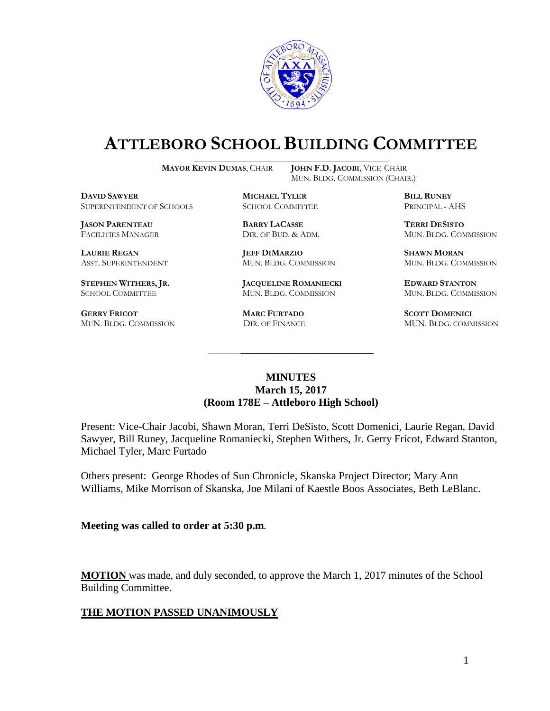

# **ATTLEBORO SCHOOL BUILDING COMMITTEE**

**MAYOR KEVIN DUMAS**, CHAIR **JOHN F.D. JACOBI**, VICE-CHAIR

MUN. BLDG. COMMISSION (CHAIR.)

**DAVID SAWYER MICHAEL TYLER BILL RUNEY** SUPERINTENDENT OF SCHOOLS SCHOOL COMMITTEE PRINCIPAL - AHS

**JASON PARENTEAU BARRY LACASSE TERRI DESISTO**

**GERRY FRICOT MARC FURTADO SCOTT DOMENICI** 

**LAURIE REGAN JEFF DIMARZIO SHAWN MORAN**

**STEPHEN WITHERS, JR. JACQUELINE ROMANIECKI EDWARD STANTON** SCHOOL COMMITTEE MUN. BLDG. COMMISSION MUN. BLDG. COMMISSION

FACILITIES MANAGER DIR. OF BUD. & ADM. MUN. BLDG. COMMISSION

ASST. SUPERINTENDENT MUN. BLDG. COMMISSION MUN. BLDG. COMMISSION

MUN. BLDG. COMMISSION DIR. OF FINANCE MUN. BLDG. COMMISSION

#### **MINUTES March 15, 2017 (Room 178E – Attleboro High School)**

\_\_\_\_\_\_\_\_\_\_\_\_\_\_\_\_\_\_\_\_\_\_\_\_\_\_\_\_\_\_\_\_\_\_\_\_\_

Present: Vice-Chair Jacobi, Shawn Moran, Terri DeSisto, Scott Domenici, Laurie Regan, David Sawyer, Bill Runey, Jacqueline Romaniecki, Stephen Withers, Jr. Gerry Fricot, Edward Stanton, Michael Tyler, Marc Furtado

Others present: George Rhodes of Sun Chronicle, Skanska Project Director; Mary Ann Williams, Mike Morrison of Skanska, Joe Milani of Kaestle Boos Associates, Beth LeBlanc.

**Meeting was called to order at 5:30 p.m**.

**MOTION** was made, and duly seconded, to approve the March 1, 2017 minutes of the School Building Committee.

### **THE MOTION PASSED UNANIMOUSLY**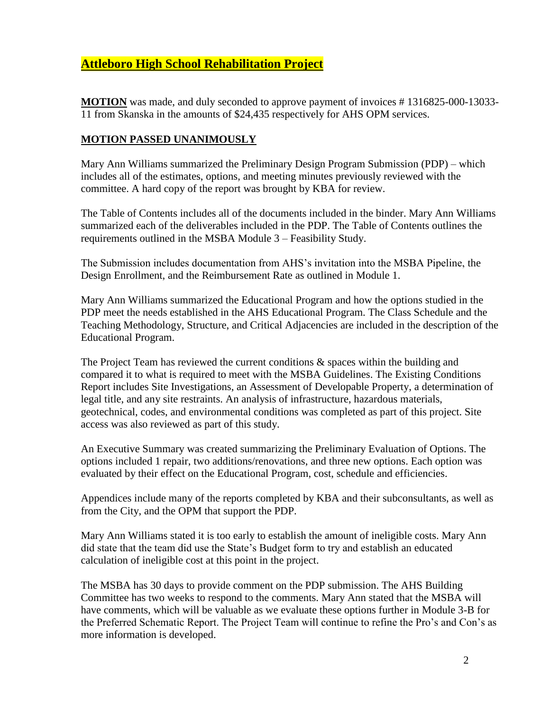## **Attleboro High School Rehabilitation Project**

**MOTION** was made, and duly seconded to approve payment of invoices # 1316825-000-13033- 11 from Skanska in the amounts of \$24,435 respectively for AHS OPM services.

### **MOTION PASSED UNANIMOUSLY**

Mary Ann Williams summarized the Preliminary Design Program Submission (PDP) – which includes all of the estimates, options, and meeting minutes previously reviewed with the committee. A hard copy of the report was brought by KBA for review.

The Table of Contents includes all of the documents included in the binder. Mary Ann Williams summarized each of the deliverables included in the PDP. The Table of Contents outlines the requirements outlined in the MSBA Module 3 – Feasibility Study.

The Submission includes documentation from AHS's invitation into the MSBA Pipeline, the Design Enrollment, and the Reimbursement Rate as outlined in Module 1.

Mary Ann Williams summarized the Educational Program and how the options studied in the PDP meet the needs established in the AHS Educational Program. The Class Schedule and the Teaching Methodology, Structure, and Critical Adjacencies are included in the description of the Educational Program.

The Project Team has reviewed the current conditions & spaces within the building and compared it to what is required to meet with the MSBA Guidelines. The Existing Conditions Report includes Site Investigations, an Assessment of Developable Property, a determination of legal title, and any site restraints. An analysis of infrastructure, hazardous materials, geotechnical, codes, and environmental conditions was completed as part of this project. Site access was also reviewed as part of this study.

An Executive Summary was created summarizing the Preliminary Evaluation of Options. The options included 1 repair, two additions/renovations, and three new options. Each option was evaluated by their effect on the Educational Program, cost, schedule and efficiencies.

Appendices include many of the reports completed by KBA and their subconsultants, as well as from the City, and the OPM that support the PDP.

Mary Ann Williams stated it is too early to establish the amount of ineligible costs. Mary Ann did state that the team did use the State's Budget form to try and establish an educated calculation of ineligible cost at this point in the project.

The MSBA has 30 days to provide comment on the PDP submission. The AHS Building Committee has two weeks to respond to the comments. Mary Ann stated that the MSBA will have comments, which will be valuable as we evaluate these options further in Module 3-B for the Preferred Schematic Report. The Project Team will continue to refine the Pro's and Con's as more information is developed.